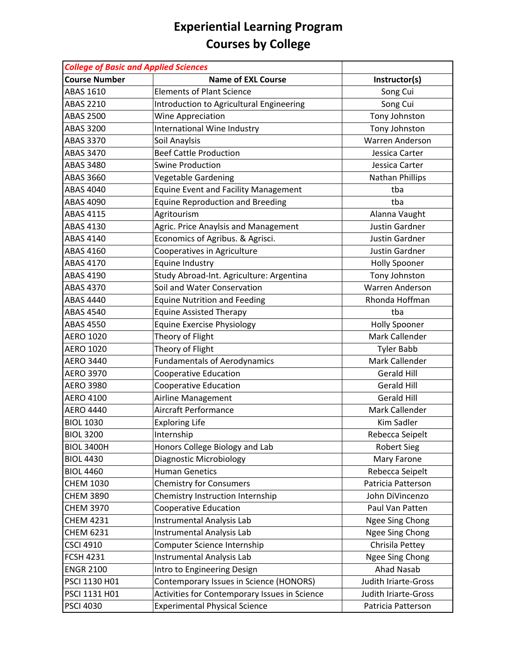| <b>College of Basic and Applied Sciences</b> |                                               |                        |
|----------------------------------------------|-----------------------------------------------|------------------------|
| <b>Course Number</b>                         | <b>Name of EXL Course</b>                     | Instructor(s)          |
| <b>ABAS 1610</b>                             | <b>Elements of Plant Science</b>              | Song Cui               |
| <b>ABAS 2210</b>                             | Introduction to Agricultural Engineering      | Song Cui               |
| <b>ABAS 2500</b>                             | <b>Wine Appreciation</b>                      | Tony Johnston          |
| <b>ABAS 3200</b>                             | International Wine Industry                   | Tony Johnston          |
| <b>ABAS 3370</b>                             | Soil Anaylsis                                 | Warren Anderson        |
| <b>ABAS 3470</b>                             | <b>Beef Cattle Production</b>                 | Jessica Carter         |
| <b>ABAS 3480</b>                             | <b>Swine Production</b>                       | Jessica Carter         |
| <b>ABAS 3660</b>                             | <b>Vegetable Gardening</b>                    | Nathan Phillips        |
| <b>ABAS 4040</b>                             | <b>Equine Event and Facility Management</b>   | tba                    |
| ABAS 4090                                    | <b>Equine Reproduction and Breeding</b>       | tba                    |
| <b>ABAS 4115</b>                             | Agritourism                                   | Alanna Vaught          |
| <b>ABAS 4130</b>                             | Agric. Price Anaylsis and Management          | <b>Justin Gardner</b>  |
| ABAS 4140                                    | Economics of Agribus. & Agrisci.              | Justin Gardner         |
| <b>ABAS 4160</b>                             | Cooperatives in Agriculture                   | <b>Justin Gardner</b>  |
| <b>ABAS 4170</b>                             | Equine Industry                               | <b>Holly Spooner</b>   |
| <b>ABAS 4190</b>                             | Study Abroad-Int. Agriculture: Argentina      | Tony Johnston          |
| <b>ABAS 4370</b>                             | Soil and Water Conservation                   | <b>Warren Anderson</b> |
| ABAS 4440                                    | <b>Equine Nutrition and Feeding</b>           | Rhonda Hoffman         |
| <b>ABAS 4540</b>                             | <b>Equine Assisted Therapy</b>                | tba                    |
| <b>ABAS 4550</b>                             | Equine Exercise Physiology                    | <b>Holly Spooner</b>   |
| <b>AERO 1020</b>                             | Theory of Flight                              | Mark Callender         |
| <b>AERO 1020</b>                             | Theory of Flight                              | <b>Tyler Babb</b>      |
| <b>AERO 3440</b>                             | <b>Fundamentals of Aerodynamics</b>           | Mark Callender         |
| <b>AERO 3970</b>                             | <b>Cooperative Education</b>                  | <b>Gerald Hill</b>     |
| <b>AERO 3980</b>                             | <b>Cooperative Education</b>                  | <b>Gerald Hill</b>     |
| <b>AERO 4100</b>                             | Airline Management                            | <b>Gerald Hill</b>     |
| <b>AERO 4440</b>                             | Aircraft Performance                          | Mark Callender         |
| <b>BIOL 1030</b>                             | <b>Exploring Life</b>                         | <b>Kim Sadler</b>      |
| <b>BIOL 3200</b>                             | Internship                                    | Rebecca Seipelt        |
| <b>BIOL 3400H</b>                            | Honors College Biology and Lab                | <b>Robert Sieg</b>     |
| <b>BIOL 4430</b>                             | Diagnostic Microbiology                       | Mary Farone            |
| <b>BIOL 4460</b>                             | <b>Human Genetics</b>                         | Rebecca Seipelt        |
| <b>CHEM 1030</b>                             | <b>Chemistry for Consumers</b>                | Patricia Patterson     |
| <b>CHEM 3890</b>                             | Chemistry Instruction Internship              | John DiVincenzo        |
| <b>CHEM 3970</b>                             | <b>Cooperative Education</b>                  | Paul Van Patten        |
| <b>CHEM 4231</b>                             | Instrumental Analysis Lab                     | Ngee Sing Chong        |
| <b>CHEM 6231</b>                             | Instrumental Analysis Lab                     | Ngee Sing Chong        |
| <b>CSCI 4910</b>                             | Computer Science Internship                   | Chrisila Pettey        |
| <b>FCSH 4231</b>                             | Instrumental Analysis Lab                     | Ngee Sing Chong        |
| <b>ENGR 2100</b>                             | Intro to Engineering Design                   | Ahad Nasab             |
| PSCI 1130 H01                                | Contemporary Issues in Science (HONORS)       | Judith Iriarte-Gross   |
| PSCI 1131 H01                                | Activities for Contemporary Issues in Science | Judith Iriarte-Gross   |
| <b>PSCI 4030</b>                             | <b>Experimental Physical Science</b>          | Patricia Patterson     |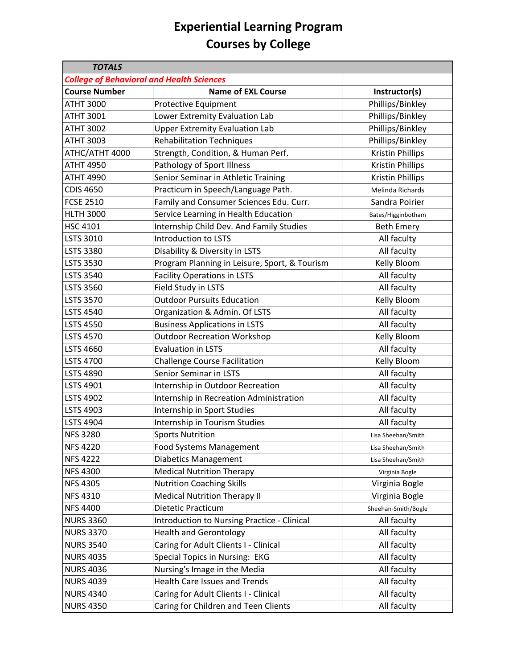| <b>TOTALS</b>        |                                                  |                         |
|----------------------|--------------------------------------------------|-------------------------|
|                      | <b>College of Behavioral and Health Sciences</b> |                         |
| <b>Course Number</b> | <b>Name of EXL Course</b>                        | Instructor(s)           |
| <b>ATHT 3000</b>     | Protective Equipment                             | Phillips/Binkley        |
| <b>ATHT 3001</b>     | Lower Extremity Evaluation Lab                   | Phillips/Binkley        |
| <b>ATHT 3002</b>     | <b>Upper Extremity Evaluation Lab</b>            | Phillips/Binkley        |
| <b>ATHT 3003</b>     | <b>Rehabilitation Techniques</b>                 | Phillips/Binkley        |
| ATHC/ATHT 4000       | Strength, Condition, & Human Perf.               | <b>Kristin Phillips</b> |
| <b>ATHT 4950</b>     | Pathology of Sport Illness                       | Kristin Phillips        |
| <b>ATHT 4990</b>     | Senior Seminar in Athletic Training              | Kristin Phillips        |
| <b>CDIS 4650</b>     | Practicum in Speech/Language Path.               | Melinda Richards        |
| <b>FCSE 2510</b>     | Family and Consumer Sciences Edu. Curr.          | Sandra Poirier          |
| <b>HLTH 3000</b>     | Service Learning in Health Education             | Bates/Higginbotham      |
| HSC 4101             | Internship Child Dev. And Family Studies         | <b>Beth Emery</b>       |
| LSTS 3010            | <b>Introduction to LSTS</b>                      | All faculty             |
| <b>LSTS 3380</b>     | Disability & Diversity in LSTS                   | All faculty             |
| <b>LSTS 3530</b>     | Program Planning in Leisure, Sport, & Tourism    | Kelly Bloom             |
| <b>LSTS 3540</b>     | <b>Facility Operations in LSTS</b>               | All faculty             |
| <b>LSTS 3560</b>     | Field Study in LSTS                              | All faculty             |
| <b>LSTS 3570</b>     | <b>Outdoor Pursuits Education</b>                | Kelly Bloom             |
| <b>LSTS 4540</b>     | Organization & Admin. Of LSTS                    | All faculty             |
| <b>LSTS 4550</b>     | <b>Business Applications in LSTS</b>             | All faculty             |
| <b>LSTS 4570</b>     | <b>Outdoor Recreation Workshop</b>               | Kelly Bloom             |
| <b>LSTS 4660</b>     | <b>Evaluation in LSTS</b>                        | All faculty             |
| <b>LSTS 4700</b>     | <b>Challenge Course Facilitation</b>             | Kelly Bloom             |
| <b>LSTS 4890</b>     | Senior Seminar in LSTS                           | All faculty             |
| LSTS 4901            | Internship in Outdoor Recreation                 | All faculty             |
| <b>LSTS 4902</b>     | Internship in Recreation Administration          | All faculty             |
| <b>LSTS 4903</b>     | Internship in Sport Studies                      | All faculty             |
| <b>LSTS 4904</b>     | Internship in Tourism Studies                    | All faculty             |
| <b>NFS 3280</b>      | <b>Sports Nutrition</b>                          | Lisa Sheehan/Smith      |
| <b>NFS 4220</b>      | <b>Food Systems Management</b>                   | Lisa Sheehan/Smith      |
| <b>NFS 4222</b>      | <b>Diabetics Management</b>                      | Lisa Sheehan/Smith      |
| <b>NFS 4300</b>      | <b>Medical Nutrition Therapy</b>                 | Virginia Bogle          |
| <b>NFS 4305</b>      | <b>Nutrition Coaching Skills</b>                 | Virginia Bogle          |
| <b>NFS 4310</b>      | <b>Medical Nutrition Therapy II</b>              | Virginia Bogle          |
| <b>NFS 4400</b>      | Dietetic Practicum                               | Sheehan-Smith/Bogle     |
| <b>NURS 3360</b>     | Introduction to Nursing Practice - Clinical      | All faculty             |
| <b>NURS 3370</b>     | <b>Health and Gerontology</b>                    | All faculty             |
| <b>NURS 3540</b>     | Caring for Adult Clients I - Clinical            | All faculty             |
| <b>NURS 4035</b>     | Special Topics in Nursing: EKG                   | All faculty             |
| <b>NURS 4036</b>     | Nursing's Image in the Media                     | All faculty             |
| <b>NURS 4039</b>     | <b>Health Care Issues and Trends</b>             | All faculty             |
| <b>NURS 4340</b>     | Caring for Adult Clients I - Clinical            | All faculty             |
| <b>NURS 4350</b>     | Caring for Children and Teen Clients             | All faculty             |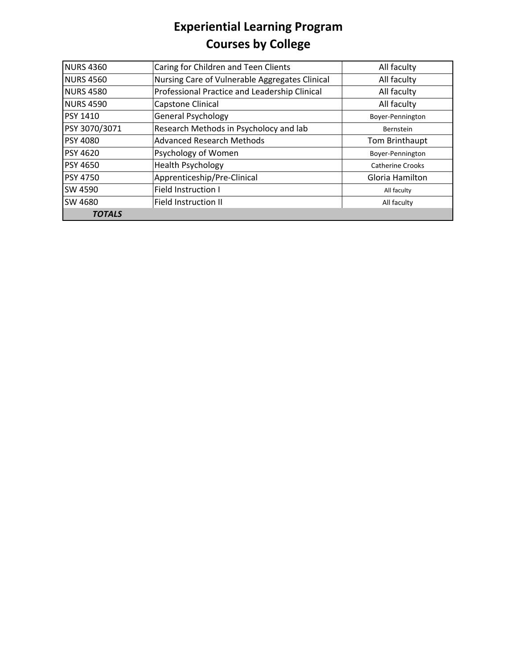| <b>NURS 4360</b> | Caring for Children and Teen Clients           | All faculty             |
|------------------|------------------------------------------------|-------------------------|
| <b>NURS 4560</b> | Nursing Care of Vulnerable Aggregates Clinical | All faculty             |
| <b>NURS 4580</b> | Professional Practice and Leadership Clinical  | All faculty             |
| <b>NURS 4590</b> | Capstone Clinical                              | All faculty             |
| <b>PSY 1410</b>  | <b>General Psychology</b>                      | Boyer-Pennington        |
| PSY 3070/3071    | Research Methods in Psycholocy and lab         | Bernstein               |
| <b>PSY 4080</b>  | <b>Advanced Research Methods</b>               | Tom Brinthaupt          |
| <b>PSY 4620</b>  | Psychology of Women                            | Boyer-Pennington        |
| <b>PSY 4650</b>  | <b>Health Psychology</b>                       | <b>Catherine Crooks</b> |
| <b>PSY 4750</b>  | Apprenticeship/Pre-Clinical                    | Gloria Hamilton         |
| SW 4590          | <b>Field Instruction I</b>                     | All faculty             |
| SW 4680          | <b>Field Instruction II</b>                    | All faculty             |
| <b>TOTALS</b>    |                                                |                         |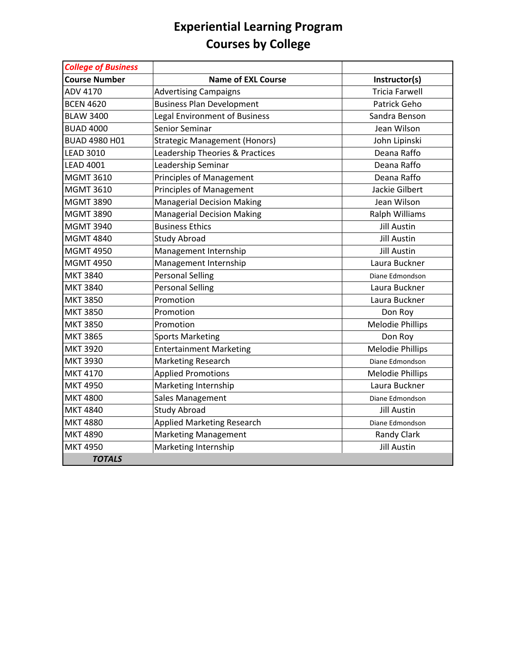| <b>College of Business</b> |                                      |                         |
|----------------------------|--------------------------------------|-------------------------|
| <b>Course Number</b>       | <b>Name of EXL Course</b>            | Instructor(s)           |
| ADV 4170                   | <b>Advertising Campaigns</b>         | <b>Tricia Farwell</b>   |
| <b>BCEN 4620</b>           | <b>Business Plan Development</b>     | Patrick Geho            |
| <b>BLAW 3400</b>           | <b>Legal Environment of Business</b> | Sandra Benson           |
| <b>BUAD 4000</b>           | <b>Senior Seminar</b>                | Jean Wilson             |
| BUAD 4980 H01              | <b>Strategic Management (Honors)</b> | John Lipinski           |
| <b>LEAD 3010</b>           | Leadership Theories & Practices      | Deana Raffo             |
| <b>LEAD 4001</b>           | Leadership Seminar                   | Deana Raffo             |
| <b>MGMT 3610</b>           | <b>Principles of Management</b>      | Deana Raffo             |
| <b>MGMT 3610</b>           | <b>Principles of Management</b>      | Jackie Gilbert          |
| <b>MGMT 3890</b>           | <b>Managerial Decision Making</b>    | Jean Wilson             |
| <b>MGMT 3890</b>           | <b>Managerial Decision Making</b>    | Ralph Williams          |
| <b>MGMT 3940</b>           | <b>Business Ethics</b>               | <b>Jill Austin</b>      |
| <b>MGMT 4840</b>           | <b>Study Abroad</b>                  | <b>Jill Austin</b>      |
| <b>MGMT 4950</b>           | Management Internship                | <b>Jill Austin</b>      |
| <b>MGMT 4950</b>           | Management Internship                | Laura Buckner           |
| <b>MKT 3840</b>            | <b>Personal Selling</b>              | Diane Edmondson         |
| <b>MKT 3840</b>            | <b>Personal Selling</b>              | Laura Buckner           |
| <b>MKT 3850</b>            | Promotion                            | Laura Buckner           |
| <b>MKT 3850</b>            | Promotion                            | Don Roy                 |
| <b>MKT 3850</b>            | Promotion                            | <b>Melodie Phillips</b> |
| <b>MKT 3865</b>            | <b>Sports Marketing</b>              | Don Roy                 |
| <b>MKT 3920</b>            | <b>Entertainment Marketing</b>       | <b>Melodie Phillips</b> |
| <b>MKT 3930</b>            | <b>Marketing Research</b>            | Diane Edmondson         |
| <b>MKT 4170</b>            | <b>Applied Promotions</b>            | <b>Melodie Phillips</b> |
| <b>MKT 4950</b>            | Marketing Internship                 | Laura Buckner           |
| <b>MKT 4800</b>            | Sales Management                     | Diane Edmondson         |
| <b>MKT 4840</b>            | <b>Study Abroad</b>                  | <b>Jill Austin</b>      |
| <b>MKT 4880</b>            | <b>Applied Marketing Research</b>    | Diane Edmondson         |
| <b>MKT 4890</b>            | <b>Marketing Management</b>          | <b>Randy Clark</b>      |
| <b>MKT 4950</b>            | Marketing Internship                 | <b>Jill Austin</b>      |
| <b>TOTALS</b>              |                                      |                         |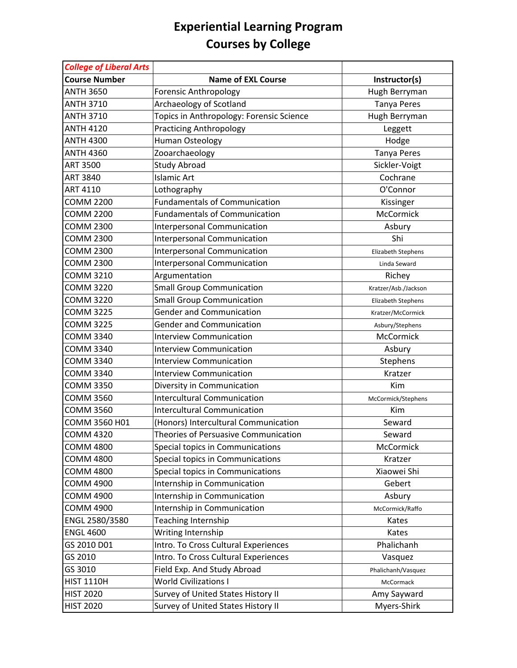| <b>College of Liberal Arts</b> |                                          |                      |
|--------------------------------|------------------------------------------|----------------------|
| <b>Course Number</b>           | <b>Name of EXL Course</b>                | Instructor(s)        |
| <b>ANTH 3650</b>               | <b>Forensic Anthropology</b>             | Hugh Berryman        |
| <b>ANTH 3710</b>               | Archaeology of Scotland                  | <b>Tanya Peres</b>   |
| <b>ANTH 3710</b>               | Topics in Anthropology: Forensic Science | Hugh Berryman        |
| <b>ANTH 4120</b>               | <b>Practicing Anthropology</b>           | Leggett              |
| <b>ANTH 4300</b>               | Human Osteology                          | Hodge                |
| <b>ANTH 4360</b>               | Zooarchaeology                           | <b>Tanya Peres</b>   |
| <b>ART 3500</b>                | <b>Study Abroad</b>                      | Sickler-Voigt        |
| <b>ART 3840</b>                | <b>Islamic Art</b>                       | Cochrane             |
| ART 4110                       | Lothography                              | O'Connor             |
| <b>COMM 2200</b>               | <b>Fundamentals of Communication</b>     | Kissinger            |
| <b>COMM 2200</b>               | <b>Fundamentals of Communication</b>     | McCormick            |
| <b>COMM 2300</b>               | <b>Interpersonal Communication</b>       | Asbury               |
| <b>COMM 2300</b>               | Interpersonal Communication              | Shi                  |
| <b>COMM 2300</b>               | Interpersonal Communication              | Elizabeth Stephens   |
| <b>COMM 2300</b>               | Interpersonal Communication              | Linda Seward         |
| <b>COMM 3210</b>               | Argumentation                            | Richey               |
| <b>COMM 3220</b>               | <b>Small Group Communication</b>         | Kratzer/Asb./Jackson |
| <b>COMM 3220</b>               | <b>Small Group Communication</b>         | Elizabeth Stephens   |
| <b>COMM 3225</b>               | <b>Gender and Communication</b>          | Kratzer/McCormick    |
| <b>COMM 3225</b>               | <b>Gender and Communication</b>          | Asbury/Stephens      |
| <b>COMM 3340</b>               | <b>Interview Communication</b>           | McCormick            |
| <b>COMM 3340</b>               | <b>Interview Communication</b>           | Asbury               |
| <b>COMM 3340</b>               | <b>Interview Communication</b>           | Stephens             |
| <b>COMM 3340</b>               | <b>Interview Communication</b>           | Kratzer              |
| <b>COMM 3350</b>               | Diversity in Communication               | Kim                  |
| <b>COMM 3560</b>               | <b>Intercultural Communication</b>       | McCormick/Stephens   |
| <b>COMM 3560</b>               | <b>Intercultural Communication</b>       | Kim                  |
| COMM 3560 H01                  | (Honors) Intercultural Communication     | Seward               |
| <b>COMM 4320</b>               | Theories of Persuasive Communication     | Seward               |
| <b>COMM 4800</b>               | Special topics in Communications         | McCormick            |
| <b>COMM 4800</b>               | Special topics in Communications         | Kratzer              |
| <b>COMM 4800</b>               | Special topics in Communications         | Xiaowei Shi          |
| <b>COMM 4900</b>               | Internship in Communication              | Gebert               |
| <b>COMM 4900</b>               | Internship in Communication              | Asbury               |
| <b>COMM 4900</b>               | Internship in Communication              | McCormick/Raffo      |
| ENGL 2580/3580                 | Teaching Internship                      | Kates                |
| <b>ENGL 4600</b>               | Writing Internship                       | Kates                |
| GS 2010 D01                    | Intro. To Cross Cultural Experiences     | Phalichanh           |
| GS 2010                        | Intro. To Cross Cultural Experiences     | Vasquez              |
| GS 3010                        | Field Exp. And Study Abroad              | Phalichanh/Vasquez   |
| <b>HIST 1110H</b>              | <b>World Civilizations I</b>             | McCormack            |
| <b>HIST 2020</b>               | Survey of United States History II       | Amy Sayward          |
| <b>HIST 2020</b>               | Survey of United States History II       | Myers-Shirk          |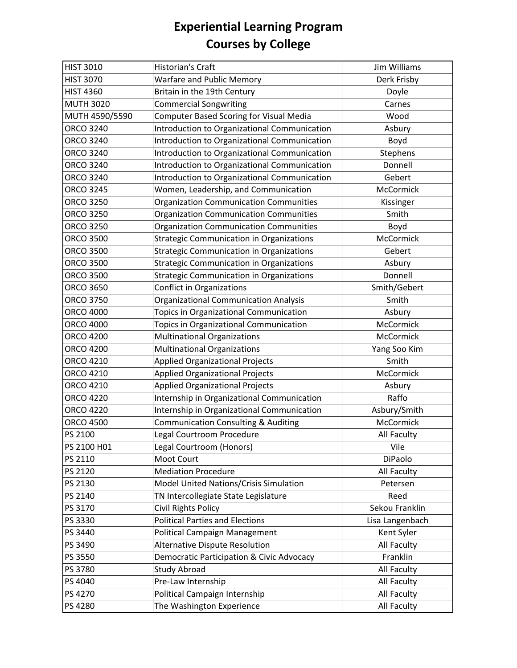| <b>HIST 3010</b> | Historian's Craft                                    | <b>Jim Williams</b> |
|------------------|------------------------------------------------------|---------------------|
| <b>HIST 3070</b> | Warfare and Public Memory                            | Derk Frisby         |
| <b>HIST 4360</b> | Britain in the 19th Century                          | Doyle               |
| <b>MUTH 3020</b> | <b>Commercial Songwriting</b>                        | Carnes              |
| MUTH 4590/5590   | <b>Computer Based Scoring for Visual Media</b>       | Wood                |
| <b>ORCO 3240</b> | Introduction to Organizational Communication         | Asbury              |
| ORCO 3240        | Introduction to Organizational Communication         | Boyd                |
| ORCO 3240        | Introduction to Organizational Communication         | Stephens            |
| <b>ORCO 3240</b> | Introduction to Organizational Communication         | Donnell             |
| <b>ORCO 3240</b> | Introduction to Organizational Communication         | Gebert              |
| <b>ORCO 3245</b> | Women, Leadership, and Communication                 | McCormick           |
| <b>ORCO 3250</b> | <b>Organization Communication Communities</b>        | Kissinger           |
| <b>ORCO 3250</b> | <b>Organization Communication Communities</b>        | Smith               |
| <b>ORCO 3250</b> | <b>Organization Communication Communities</b>        | Boyd                |
| <b>ORCO 3500</b> | <b>Strategic Communication in Organizations</b>      | McCormick           |
| <b>ORCO 3500</b> | <b>Strategic Communication in Organizations</b>      | Gebert              |
| <b>ORCO 3500</b> | <b>Strategic Communication in Organizations</b>      | Asbury              |
| <b>ORCO 3500</b> | <b>Strategic Communication in Organizations</b>      | Donnell             |
| <b>ORCO 3650</b> | <b>Conflict in Organizations</b>                     | Smith/Gebert        |
| <b>ORCO 3750</b> | <b>Organizational Communication Analysis</b>         | Smith               |
| <b>ORCO 4000</b> | Topics in Organizational Communication               | Asbury              |
| ORCO 4000        | Topics in Organizational Communication               | McCormick           |
| <b>ORCO 4200</b> | <b>Multinational Organizations</b>                   | McCormick           |
| <b>ORCO 4200</b> | <b>Multinational Organizations</b>                   | Yang Soo Kim        |
| ORCO 4210        | <b>Applied Organizational Projects</b>               | Smith               |
| ORCO 4210        | <b>Applied Organizational Projects</b>               | McCormick           |
| ORCO 4210        | <b>Applied Organizational Projects</b>               | Asbury              |
| <b>ORCO 4220</b> | Internship in Organizational Communication           | Raffo               |
| <b>ORCO 4220</b> | Internship in Organizational Communication           | Asbury/Smith        |
| <b>ORCO 4500</b> | <b>Communication Consulting &amp; Auditing</b>       | McCormick           |
| PS 2100          | Legal Courtroom Procedure                            | <b>All Faculty</b>  |
| PS 2100 H01      | Legal Courtroom (Honors)                             | Vile                |
| PS 2110          | Moot Court                                           | DiPaolo             |
| PS 2120          | <b>Mediation Procedure</b>                           | All Faculty         |
| PS 2130          | Model United Nations/Crisis Simulation               | Petersen            |
| PS 2140          | TN Intercollegiate State Legislature                 | Reed                |
| PS 3170          | Civil Rights Policy                                  | Sekou Franklin      |
| PS 3330          | <b>Political Parties and Elections</b>               | Lisa Langenbach     |
| PS 3440          | Political Campaign Management                        | Kent Syler          |
| PS 3490          | Alternative Dispute Resolution                       | All Faculty         |
| PS 3550          | <b>Democratic Participation &amp; Civic Advocacy</b> | Franklin            |
| PS 3780          | <b>Study Abroad</b>                                  | All Faculty         |
| PS 4040          | Pre-Law Internship                                   | All Faculty         |
| PS 4270          | Political Campaign Internship                        | All Faculty         |
| PS 4280          | The Washington Experience                            | All Faculty         |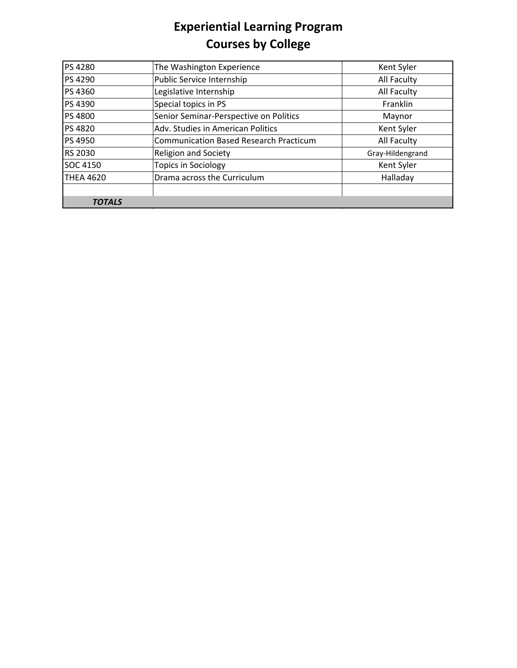| PS 4280          | The Washington Experience                     | Kent Syler       |
|------------------|-----------------------------------------------|------------------|
| PS 4290          | Public Service Internship                     | All Faculty      |
| PS 4360          | Legislative Internship                        | All Faculty      |
| PS 4390          | Special topics in PS                          | Franklin         |
| PS 4800          | Senior Seminar-Perspective on Politics        | Maynor           |
| <b>PS 4820</b>   | Adv. Studies in American Politics             | Kent Syler       |
| PS 4950          | <b>Communication Based Research Practicum</b> | All Faculty      |
| <b>RS 2030</b>   | <b>Religion and Society</b>                   | Gray-Hildengrand |
| SOC 4150         | <b>Topics in Sociology</b>                    | Kent Syler       |
| <b>THEA 4620</b> | Drama across the Curriculum                   | Halladay         |
|                  |                                               |                  |
| <b>TOTALS</b>    |                                               |                  |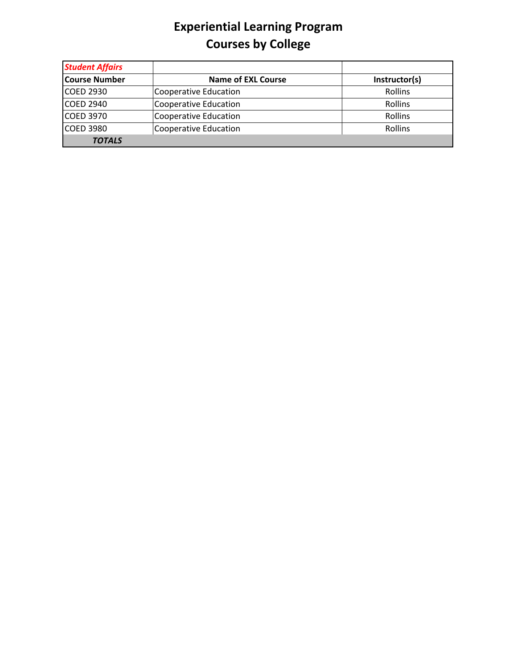| <b>Student Affairs</b> |                           |               |
|------------------------|---------------------------|---------------|
| <b>Course Number</b>   | <b>Name of EXL Course</b> | Instructor(s) |
| <b>COED 2930</b>       | Cooperative Education     | Rollins       |
| <b>COED 2940</b>       | Cooperative Education     | Rollins       |
| <b>COED 3970</b>       | Cooperative Education     | Rollins       |
| <b>COED 3980</b>       | Cooperative Education     | Rollins       |
| <b>TOTALS</b>          |                           |               |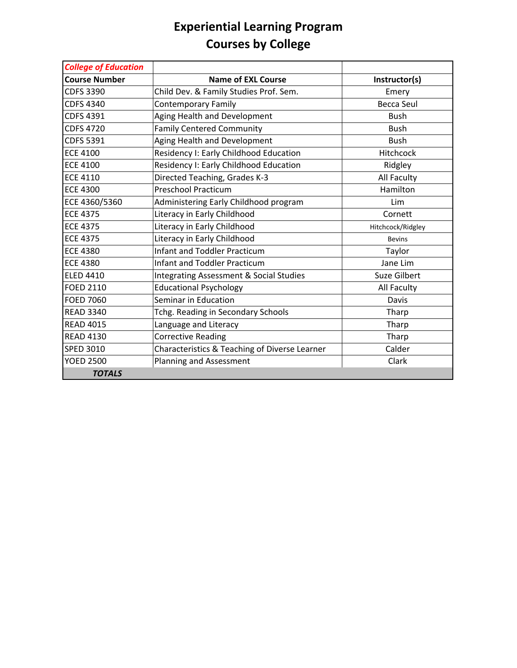| <b>College of Education</b> |                                                    |                     |
|-----------------------------|----------------------------------------------------|---------------------|
| <b>Course Number</b>        | <b>Name of EXL Course</b>                          | Instructor(s)       |
| <b>CDFS 3390</b>            | Child Dev. & Family Studies Prof. Sem.             | Emery               |
| <b>CDFS 4340</b>            | <b>Contemporary Family</b>                         | <b>Becca Seul</b>   |
| <b>CDFS 4391</b>            | Aging Health and Development                       | <b>Bush</b>         |
| <b>CDFS 4720</b>            | <b>Family Centered Community</b>                   | <b>Bush</b>         |
| <b>CDFS 5391</b>            | Aging Health and Development                       | <b>Bush</b>         |
| <b>ECE 4100</b>             | Residency I: Early Childhood Education             | <b>Hitchcock</b>    |
| <b>ECE 4100</b>             | Residency I: Early Childhood Education             | Ridgley             |
| <b>ECE 4110</b>             | Directed Teaching, Grades K-3                      | All Faculty         |
| <b>ECE 4300</b>             | <b>Preschool Practicum</b>                         | Hamilton            |
| ECE 4360/5360               | Administering Early Childhood program              | Lim                 |
| <b>ECE 4375</b>             | Literacy in Early Childhood                        | Cornett             |
| <b>ECE 4375</b>             | Literacy in Early Childhood                        | Hitchcock/Ridgley   |
| <b>ECE 4375</b>             | Literacy in Early Childhood                        | <b>Bevins</b>       |
| <b>ECE 4380</b>             | <b>Infant and Toddler Practicum</b>                | Taylor              |
| <b>ECE 4380</b>             | <b>Infant and Toddler Practicum</b>                | Jane Lim            |
| <b>ELED 4410</b>            | <b>Integrating Assessment &amp; Social Studies</b> | <b>Suze Gilbert</b> |
| <b>FOED 2110</b>            | <b>Educational Psychology</b>                      | <b>All Faculty</b>  |
| <b>FOED 7060</b>            | Seminar in Education                               | Davis               |
| <b>READ 3340</b>            | Tchg. Reading in Secondary Schools                 | Tharp               |
| <b>READ 4015</b>            | Language and Literacy                              | Tharp               |
| <b>READ 4130</b>            | <b>Corrective Reading</b>                          | Tharp               |
| <b>SPED 3010</b>            | Characteristics & Teaching of Diverse Learner      | Calder              |
| <b>YOED 2500</b>            | Planning and Assessment                            | Clark               |
| <b>TOTALS</b>               |                                                    |                     |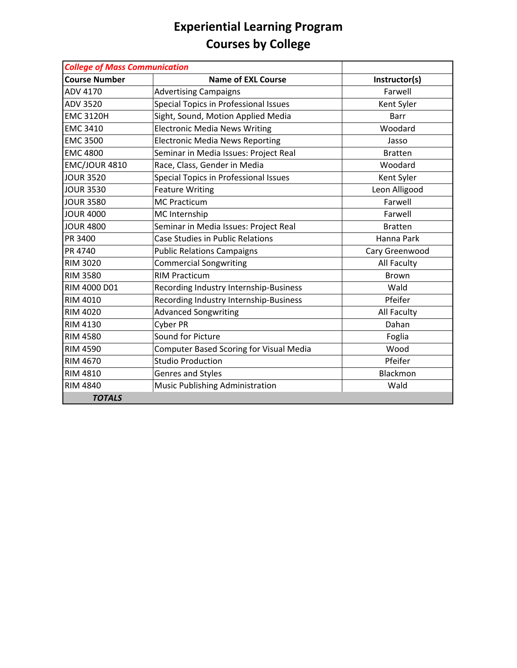| <b>College of Mass Communication</b> |                                                |                    |
|--------------------------------------|------------------------------------------------|--------------------|
| <b>Course Number</b>                 | <b>Name of EXL Course</b>                      | Instructor(s)      |
| ADV 4170                             | <b>Advertising Campaigns</b>                   | Farwell            |
| ADV 3520                             | Special Topics in Professional Issues          | Kent Syler         |
| <b>EMC 3120H</b>                     | Sight, Sound, Motion Applied Media             | <b>Barr</b>        |
| <b>EMC 3410</b>                      | <b>Electronic Media News Writing</b>           | Woodard            |
| <b>EMC 3500</b>                      | <b>Electronic Media News Reporting</b>         | Jasso              |
| <b>EMC 4800</b>                      | Seminar in Media Issues: Project Real          | <b>Bratten</b>     |
| <b>EMC/JOUR 4810</b>                 | Race, Class, Gender in Media                   | Woodard            |
| <b>JOUR 3520</b>                     | Special Topics in Professional Issues          | Kent Syler         |
| <b>JOUR 3530</b>                     | <b>Feature Writing</b>                         | Leon Alligood      |
| <b>JOUR 3580</b>                     | <b>MC Practicum</b>                            | Farwell            |
| <b>JOUR 4000</b>                     | MC Internship                                  | Farwell            |
| <b>JOUR 4800</b>                     | Seminar in Media Issues: Project Real          | <b>Bratten</b>     |
| PR 3400                              | <b>Case Studies in Public Relations</b>        | Hanna Park         |
| PR 4740                              | <b>Public Relations Campaigns</b>              | Cary Greenwood     |
| <b>RIM 3020</b>                      | <b>Commercial Songwriting</b>                  | All Faculty        |
| <b>RIM 3580</b>                      | <b>RIM Practicum</b>                           | <b>Brown</b>       |
| RIM 4000 D01                         | Recording Industry Internship-Business         | Wald               |
| <b>RIM 4010</b>                      | Recording Industry Internship-Business         | Pfeifer            |
| <b>RIM 4020</b>                      | <b>Advanced Songwriting</b>                    | <b>All Faculty</b> |
| <b>RIM 4130</b>                      | <b>Cyber PR</b>                                | Dahan              |
| <b>RIM 4580</b>                      | Sound for Picture                              | Foglia             |
| <b>RIM 4590</b>                      | <b>Computer Based Scoring for Visual Media</b> | Wood               |
| <b>RIM 4670</b>                      | <b>Studio Production</b>                       | Pfeifer            |
| <b>RIM 4810</b>                      | Genres and Styles                              | Blackmon           |
| <b>RIM 4840</b>                      | Music Publishing Administration                | Wald               |
| <b>TOTALS</b>                        |                                                |                    |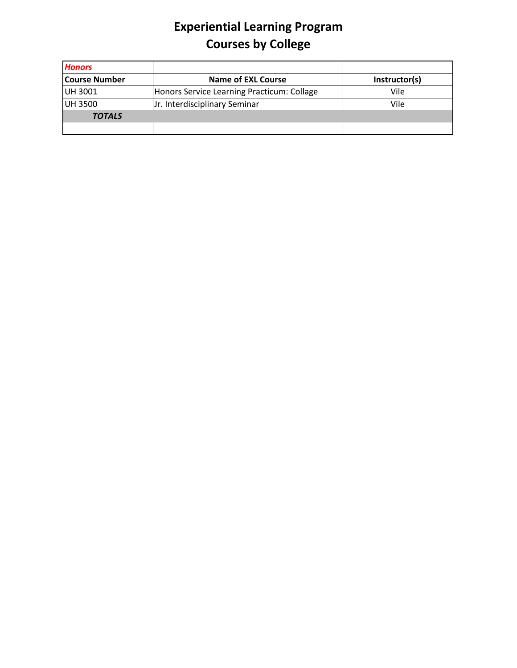| <b>Honors</b>        |                                            |               |
|----------------------|--------------------------------------------|---------------|
| <b>Course Number</b> | <b>Name of EXL Course</b>                  | Instructor(s) |
| UH 3001              | Honors Service Learning Practicum: Collage | Vile          |
| <b>UH 3500</b>       | Jr. Interdisciplinary Seminar              | Vile          |
| <b>TOTALS</b>        |                                            |               |
|                      |                                            |               |